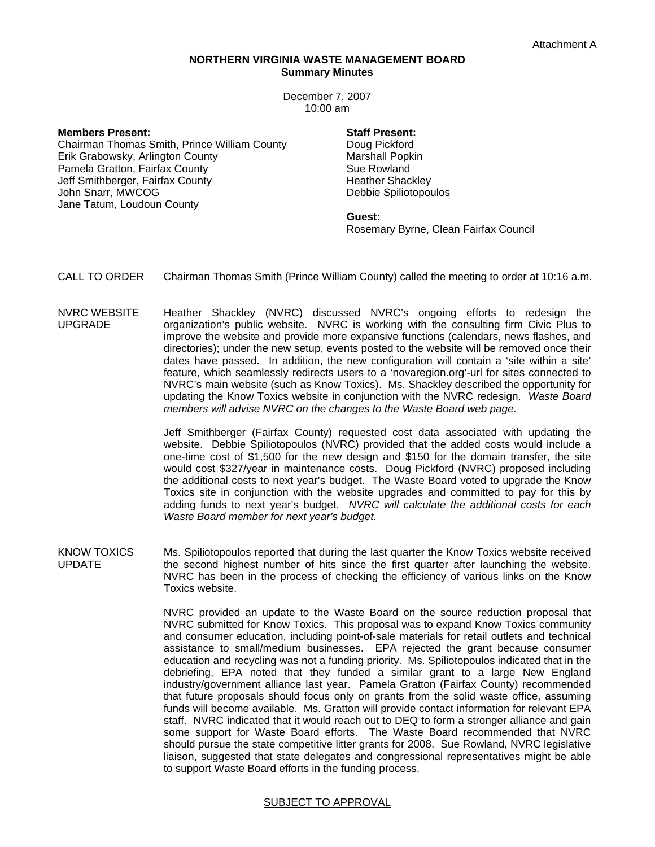## **NORTHERN VIRGINIA WASTE MANAGEMENT BOARD Summary Minutes**

December 7, 2007 10:00 am

**Members Present:** 

Chairman Thomas Smith, Prince William County Erik Grabowsky, Arlington County Pamela Gratton, Fairfax County Jeff Smithberger, Fairfax County John Snarr, MWCOG Jane Tatum, Loudoun County

## **Staff Present:**

Doug Pickford Marshall Popkin Sue Rowland Heather Shackley Debbie Spiliotopoulos

## **Guest:**

Rosemary Byrne, Clean Fairfax Council

CALL TO ORDER Chairman Thomas Smith (Prince William County) called the meeting to order at 10:16 a.m.

NVRC WEBSITE UPGRADE Heather Shackley (NVRC) discussed NVRC's ongoing efforts to redesign the organization's public website. NVRC is working with the consulting firm Civic Plus to improve the website and provide more expansive functions (calendars, news flashes, and directories); under the new setup, events posted to the website will be removed once their dates have passed. In addition, the new configuration will contain a 'site within a site' feature, which seamlessly redirects users to a 'novaregion.org'-url for sites connected to NVRC's main website (such as Know Toxics). Ms. Shackley described the opportunity for updating the Know Toxics website in conjunction with the NVRC redesign. *Waste Board members will advise NVRC on the changes to the Waste Board web page.* 

> Jeff Smithberger (Fairfax County) requested cost data associated with updating the website. Debbie Spiliotopoulos (NVRC) provided that the added costs would include a one-time cost of \$1,500 for the new design and \$150 for the domain transfer, the site would cost \$327/year in maintenance costs. Doug Pickford (NVRC) proposed including the additional costs to next year's budget. The Waste Board voted to upgrade the Know Toxics site in conjunction with the website upgrades and committed to pay for this by adding funds to next year's budget. *NVRC will calculate the additional costs for each Waste Board member for next year's budget.*

KNOW TOXICS UPDATE Ms. Spiliotopoulos reported that during the last quarter the Know Toxics website received the second highest number of hits since the first quarter after launching the website. NVRC has been in the process of checking the efficiency of various links on the Know Toxics website.

> NVRC provided an update to the Waste Board on the source reduction proposal that NVRC submitted for Know Toxics. This proposal was to expand Know Toxics community and consumer education, including point-of-sale materials for retail outlets and technical assistance to small/medium businesses. EPA rejected the grant because consumer education and recycling was not a funding priority. Ms. Spiliotopoulos indicated that in the debriefing, EPA noted that they funded a similar grant to a large New England industry/government alliance last year. Pamela Gratton (Fairfax County) recommended that future proposals should focus only on grants from the solid waste office, assuming funds will become available. Ms. Gratton will provide contact information for relevant EPA staff. NVRC indicated that it would reach out to DEQ to form a stronger alliance and gain some support for Waste Board efforts. The Waste Board recommended that NVRC should pursue the state competitive litter grants for 2008. Sue Rowland, NVRC legislative liaison, suggested that state delegates and congressional representatives might be able to support Waste Board efforts in the funding process.

## SUBJECT TO APPROVAL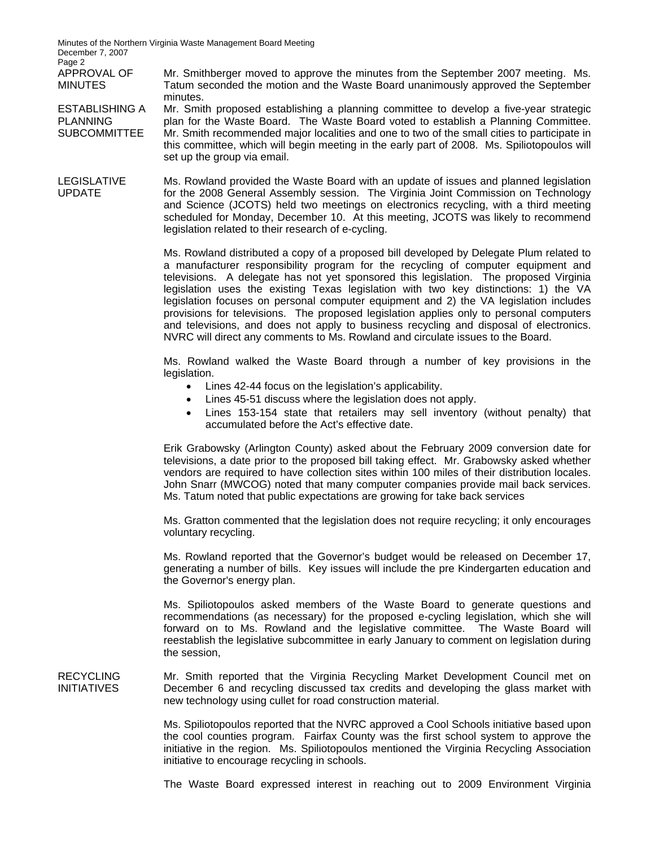Minutes of the Northern Virginia Waste Management Board Meeting December 7, 2007 Page 2

APPROVAL OF MINUTES

PLANNING

Mr. Smithberger moved to approve the minutes from the September 2007 meeting. Ms. Tatum seconded the motion and the Waste Board unanimously approved the September minutes.

ESTABLISHING A SUBCOMMITTEE Mr. Smith proposed establishing a planning committee to develop a five-year strategic plan for the Waste Board. The Waste Board voted to establish a Planning Committee. Mr. Smith recommended major localities and one to two of the small cities to participate in this committee, which will begin meeting in the early part of 2008. Ms. Spiliotopoulos will set up the group via email.

LEGISLATIVE UPDATE Ms. Rowland provided the Waste Board with an update of issues and planned legislation for the 2008 General Assembly session. The Virginia Joint Commission on Technology and Science (JCOTS) held two meetings on electronics recycling, with a third meeting scheduled for Monday, December 10. At this meeting, JCOTS was likely to recommend legislation related to their research of e-cycling.

> Ms. Rowland distributed a copy of a proposed bill developed by Delegate Plum related to a manufacturer responsibility program for the recycling of computer equipment and televisions. A delegate has not yet sponsored this legislation. The proposed Virginia legislation uses the existing Texas legislation with two key distinctions: 1) the VA legislation focuses on personal computer equipment and 2) the VA legislation includes provisions for televisions. The proposed legislation applies only to personal computers and televisions, and does not apply to business recycling and disposal of electronics. NVRC will direct any comments to Ms. Rowland and circulate issues to the Board.

> Ms. Rowland walked the Waste Board through a number of key provisions in the legislation.

- Lines 42-44 focus on the legislation's applicability.
- Lines 45-51 discuss where the legislation does not apply.
- Lines 153-154 state that retailers may sell inventory (without penalty) that accumulated before the Act's effective date.

Erik Grabowsky (Arlington County) asked about the February 2009 conversion date for televisions, a date prior to the proposed bill taking effect. Mr. Grabowsky asked whether vendors are required to have collection sites within 100 miles of their distribution locales. John Snarr (MWCOG) noted that many computer companies provide mail back services. Ms. Tatum noted that public expectations are growing for take back services

Ms. Gratton commented that the legislation does not require recycling; it only encourages voluntary recycling.

Ms. Rowland reported that the Governor's budget would be released on December 17, generating a number of bills. Key issues will include the pre Kindergarten education and the Governor's energy plan.

Ms. Spiliotopoulos asked members of the Waste Board to generate questions and recommendations (as necessary) for the proposed e-cycling legislation, which she will forward on to Ms. Rowland and the legislative committee. The Waste Board will reestablish the legislative subcommittee in early January to comment on legislation during the session,

RECYCLING Mr. Smith reported that the Virginia Recycling Market Development Council met on December 6 and recycling discussed tax credits and developing the glass market with new technology using cullet for road construction material.

> Ms. Spiliotopoulos reported that the NVRC approved a Cool Schools initiative based upon the cool counties program. Fairfax County was the first school system to approve the initiative in the region. Ms. Spiliotopoulos mentioned the Virginia Recycling Association initiative to encourage recycling in schools.

> The Waste Board expressed interest in reaching out to 2009 Environment Virginia

INITIATIVES